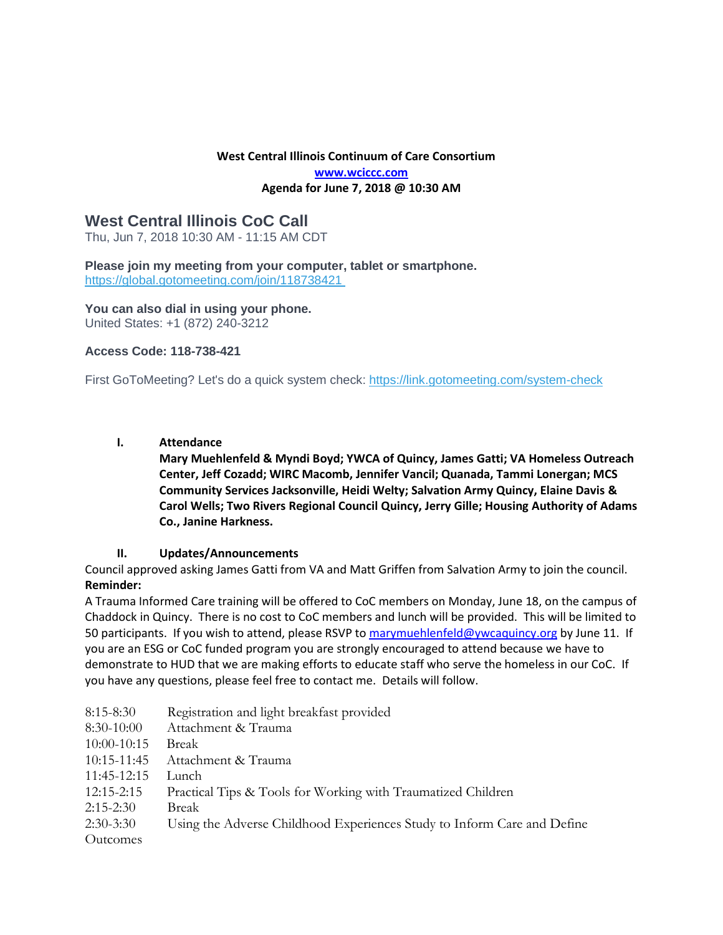# **West Central Illinois Continuum of Care Consortium [www.wciccc.com](http://www.wciccc.com/) Agenda for June 7, 2018 @ 10:30 AM**

# **West Central Illinois CoC Call**

Thu, Jun 7, 2018 10:30 AM - 11:15 AM CDT

**Please join my meeting from your computer, tablet or smartphone.** <https://global.gotomeeting.com/join/118738421>

**You can also dial in using your phone.** United States: +1 (872) 240-3212

# **Access Code: 118-738-421**

First GoToMeeting? Let's do a quick system check: <https://link.gotomeeting.com/system-check>

#### **I. Attendance**

**Mary Muehlenfeld & Myndi Boyd; YWCA of Quincy, James Gatti; VA Homeless Outreach Center, Jeff Cozadd; WIRC Macomb, Jennifer Vancil; Quanada, Tammi Lonergan; MCS Community Services Jacksonville, Heidi Welty; Salvation Army Quincy, Elaine Davis & Carol Wells; Two Rivers Regional Council Quincy, Jerry Gille; Housing Authority of Adams Co., Janine Harkness.**

# **II. Updates/Announcements**

Council approved asking James Gatti from VA and Matt Griffen from Salvation Army to join the council. **Reminder:** 

A Trauma Informed Care training will be offered to CoC members on Monday, June 18, on the campus of Chaddock in Quincy. There is no cost to CoC members and lunch will be provided. This will be limited to 50 participants. If you wish to attend, please RSVP t[o marymuehlenfeld@ywcaquincy.org](mailto:marymuehlenfeld@ywcaquincy.org) by June 11. If you are an ESG or CoC funded program you are strongly encouraged to attend because we have to demonstrate to HUD that we are making efforts to educate staff who serve the homeless in our CoC. If you have any questions, please feel free to contact me. Details will follow.

| Registration and light breakfast provided                               |
|-------------------------------------------------------------------------|
| Attachment & Trauma                                                     |
| Break                                                                   |
| Attachment & Trauma                                                     |
| Lunch                                                                   |
| Practical Tips & Tools for Working with Traumatized Children            |
| Break                                                                   |
| Using the Adverse Childhood Experiences Study to Inform Care and Define |
|                                                                         |
|                                                                         |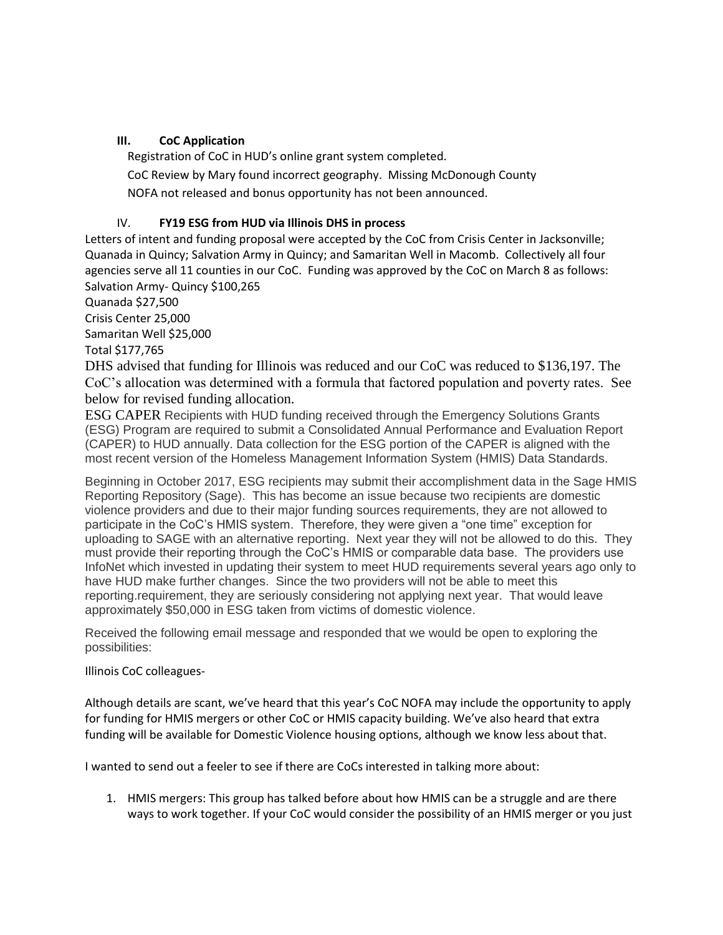#### **III. CoC Application**

Registration of CoC in HUD's online grant system completed. CoC Review by Mary found incorrect geography. Missing McDonough County NOFA not released and bonus opportunity has not been announced.

# IV. **FY19 ESG from HUD via Illinois DHS in process**

Letters of intent and funding proposal were accepted by the CoC from Crisis Center in Jacksonville; Quanada in Quincy; Salvation Army in Quincy; and Samaritan Well in Macomb. Collectively all four agencies serve all 11 counties in our CoC. Funding was approved by the CoC on March 8 as follows: Salvation Army- Quincy \$100,265

Quanada \$27,500

Crisis Center 25,000

Samaritan Well \$25,000

Total \$177,765

DHS advised that funding for Illinois was reduced and our CoC was reduced to \$136,197. The CoC's allocation was determined with a formula that factored population and poverty rates. See below for revised funding allocation.

ESG CAPER Recipients with HUD funding received through the Emergency Solutions Grants (ESG) Program are required to submit a Consolidated Annual Performance and Evaluation Report (CAPER) to HUD annually. Data collection for the ESG portion of the CAPER is aligned with the most recent version of the Homeless Management Information System (HMIS) Data Standards.

Beginning in October 2017, ESG recipients may submit their accomplishment data in the Sage HMIS Reporting Repository (Sage). This has become an issue because two recipients are domestic violence providers and due to their major funding sources requirements, they are not allowed to participate in the CoC's HMIS system. Therefore, they were given a "one time" exception for uploading to SAGE with an alternative reporting. Next year they will not be allowed to do this. They must provide their reporting through the CoC's HMIS or comparable data base. The providers use InfoNet which invested in updating their system to meet HUD requirements several years ago only to have HUD make further changes. Since the two providers will not be able to meet this reporting.requirement, they are seriously considering not applying next year. That would leave approximately \$50,000 in ESG taken from victims of domestic violence.

Received the following email message and responded that we would be open to exploring the possibilities:

#### Illinois CoC colleagues-

Although details are scant, we've heard that this year's CoC NOFA may include the opportunity to apply for funding for HMIS mergers or other CoC or HMIS capacity building. We've also heard that extra funding will be available for Domestic Violence housing options, although we know less about that.

I wanted to send out a feeler to see if there are CoCs interested in talking more about:

1. HMIS mergers: This group has talked before about how HMIS can be a struggle and are there ways to work together. If your CoC would consider the possibility of an HMIS merger or you just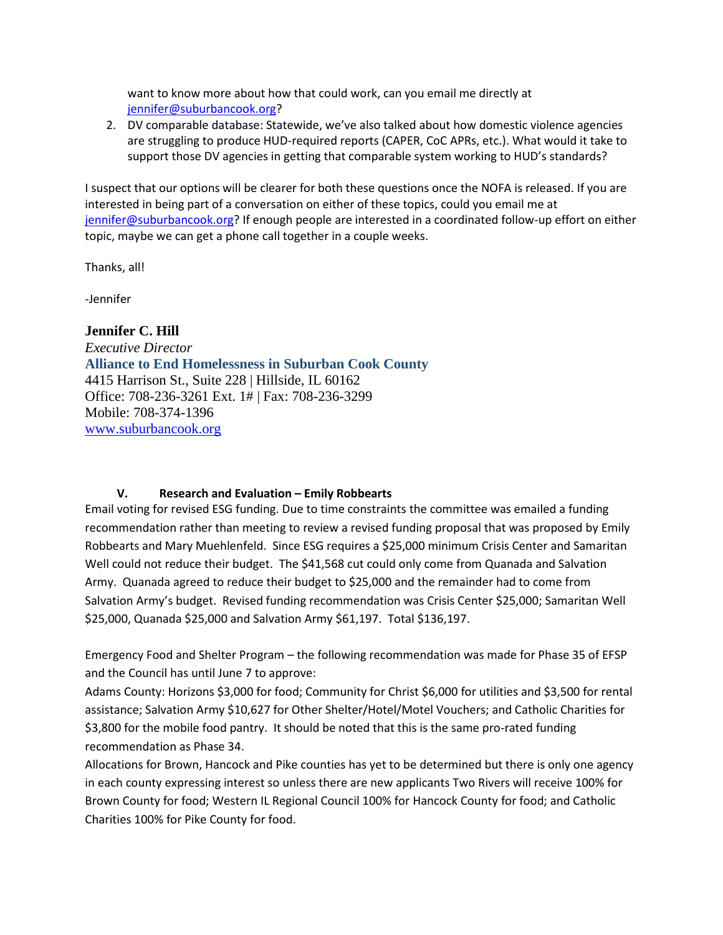want to know more about how that could work, can you email me directly at [jennifer@suburbancook.org?](mailto:jennifer@suburbancook.org)

2. DV comparable database: Statewide, we've also talked about how domestic violence agencies are struggling to produce HUD-required reports (CAPER, CoC APRs, etc.). What would it take to support those DV agencies in getting that comparable system working to HUD's standards?

I suspect that our options will be clearer for both these questions once the NOFA is released. If you are interested in being part of a conversation on either of these topics, could you email me at [jennifer@suburbancook.org?](mailto:jennifer@suburbancook.org) If enough people are interested in a coordinated follow-up effort on either topic, maybe we can get a phone call together in a couple weeks.

Thanks, all!

-Jennifer

**Jennifer C. Hill** *Executive Director* **Alliance to End Homelessness in Suburban Cook County** 4415 Harrison St., Suite 228 | Hillside, IL 60162 Office: 708-236-3261 Ext. 1# | Fax: 708-236-3299 Mobile: 708-374-1396 [www.suburbancook.org](http://www.suburbancook.org/#_blank)

# **V. Research and Evaluation – Emily Robbearts**

Email voting for revised ESG funding. Due to time constraints the committee was emailed a funding recommendation rather than meeting to review a revised funding proposal that was proposed by Emily Robbearts and Mary Muehlenfeld. Since ESG requires a \$25,000 minimum Crisis Center and Samaritan Well could not reduce their budget. The \$41,568 cut could only come from Quanada and Salvation Army. Quanada agreed to reduce their budget to \$25,000 and the remainder had to come from Salvation Army's budget. Revised funding recommendation was Crisis Center \$25,000; Samaritan Well \$25,000, Quanada \$25,000 and Salvation Army \$61,197. Total \$136,197.

Emergency Food and Shelter Program – the following recommendation was made for Phase 35 of EFSP and the Council has until June 7 to approve:

Adams County: Horizons \$3,000 for food; Community for Christ \$6,000 for utilities and \$3,500 for rental assistance; Salvation Army \$10,627 for Other Shelter/Hotel/Motel Vouchers; and Catholic Charities for \$3,800 for the mobile food pantry. It should be noted that this is the same pro-rated funding recommendation as Phase 34.

Allocations for Brown, Hancock and Pike counties has yet to be determined but there is only one agency in each county expressing interest so unless there are new applicants Two Rivers will receive 100% for Brown County for food; Western IL Regional Council 100% for Hancock County for food; and Catholic Charities 100% for Pike County for food.